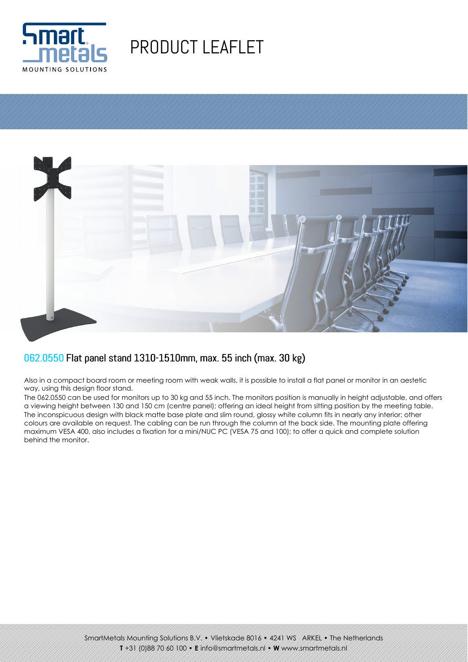

## PRODUCT LEAFLET



## 062.0550 Flat panel stand 1310-1510mm, max. 55 inch (max. 30 kg)

Also in a compact board room or meeting room with weak walls, it is possible to install a flat panel or monitor in an aestetic way, using this design floor stand.

The 062.0550 can be used for monitors up to 30 kg and 55 inch. The monitors position is manually in height adjustable, and offers a viewing height between 130 and 150 cm (centre panel); offering an ideal height from sitting position by the meeting table. The inconspicuous design with black matte base plate and slim round, glossy white column fits in nearly any interior; other colours are available on request. The cabling can be run through the column at the back side. The mounting plate offering maximum VESA 400, also includes a fixation for a mini/NUC PC (VESA 75 and 100); to offer a quick and complete solution behind the monitor.